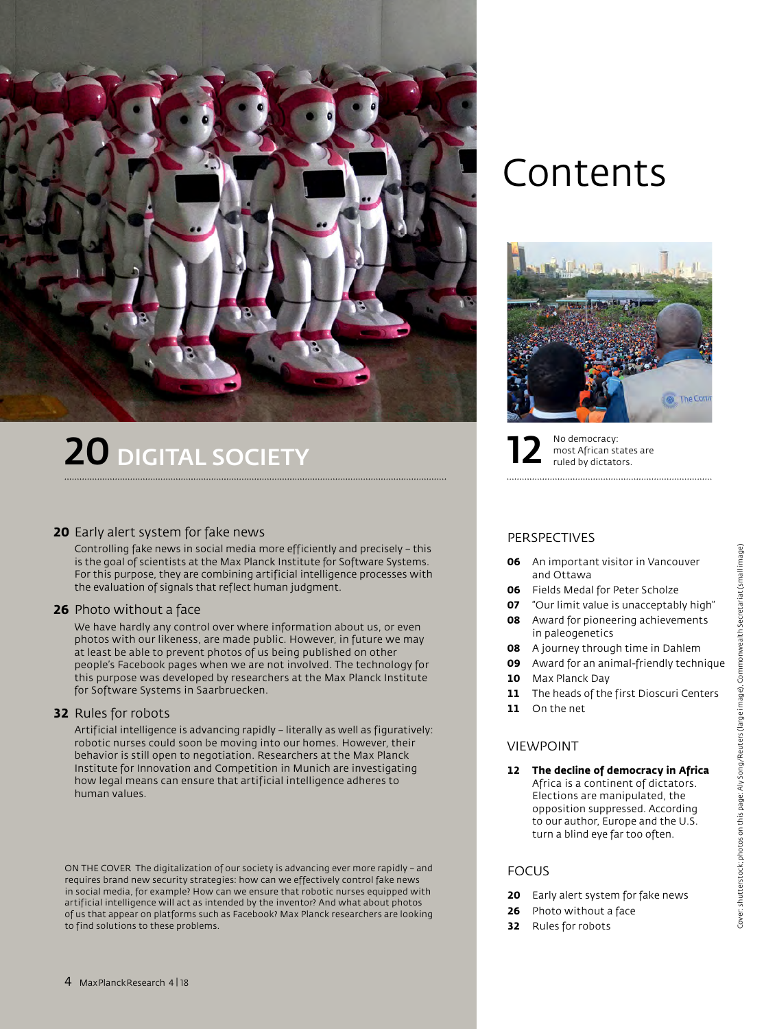

# 20 DIGITAL SOCIETY

#### **20** Early alert system for fake news

 Controlling fake news in social media more efficiently and precisely – this is the goal of scientists at the Max Planck Institute for Software Systems. For this purpose, they are combining artificial intelligence processes with the evaluation of signals that reflect human judgment.

#### **26** Photo without a face

 We have hardly any control over where information about us, or even photos with our likeness, are made public. However, in future we may at least be able to prevent photos of us being published on other people's Facebook pages when we are not involved. The technology for this purpose was developed by researchers at the Max Planck Institute for Software Systems in Saarbruecken.

#### **32** Rules for robots

 Artificial intelligence is advancing rapidly – literally as well as figuratively: robotic nurses could soon be moving into our homes. However, their behavior is still open to negotiation. Researchers at the Max Planck Institute for Innovation and Competition in Munich are investigating how legal means can ensure that artificial intelligence adheres to human values.

ON THE COVER The digitalization of our society is advancing ever more rapidly – and requires brand new security strategies: how can we effectively control fake news in social media, for example? How can we ensure that robotic nurses equipped with artificial intelligence will act as intended by the inventor? And what about photos of us that appear on platforms such as Facebook? Max Planck researchers are looking to find solutions to these problems.

## Contents



No democracy:

### most African states are<br>ruled by dictators.

#### PERSPECTIVES

- **06** An important visitor in Vancouver and Ottawa
- **06** Fields Medal for Peter Scholze
- **07** "Our limit value is unacceptably high"
- **08** Award for pioneering achievements in paleogenetics
- **08** A journey through time in Dahlem
- **09** Award for an animal-friendly technique
- **10** Max Planck Day
- 11 The heads of the first Dioscuri Centers
- **11** On the net

#### VIEWPOINT

**12 The decline of democracy in Africa** Africa is a continent of dictators. Elections are manipulated, the opposition suppressed. According to our author, Europe and the U.S. turn a blind eye far too often.

#### **FOCUS**

- **20** Early alert system for fake news
- **26** Photo without a face
- **32** Rules for robots